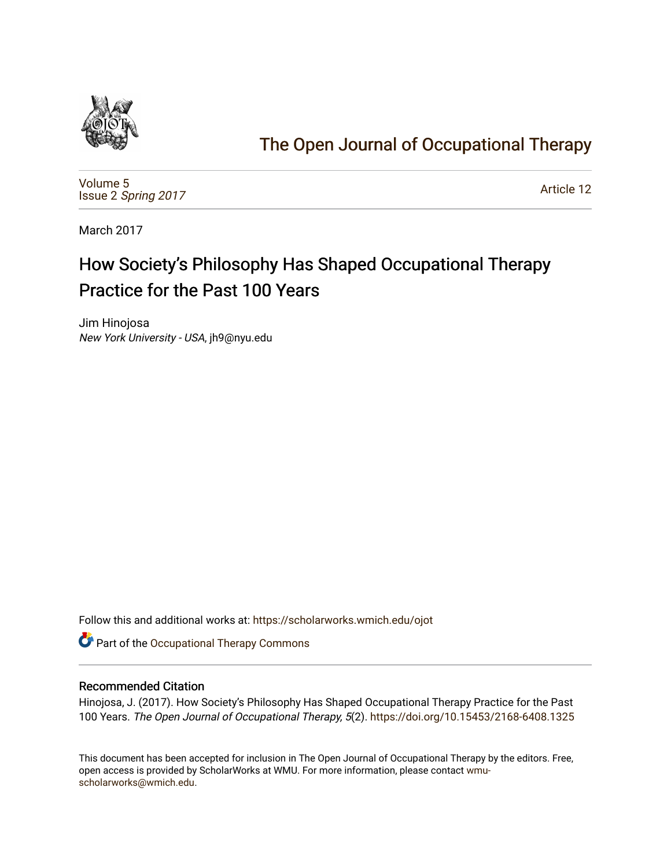

# [The Open Journal of Occupational Therapy](https://scholarworks.wmich.edu/ojot)

[Volume 5](https://scholarworks.wmich.edu/ojot/vol5) Issue 2 [Spring 2017](https://scholarworks.wmich.edu/ojot/vol5/iss2) 

[Article 12](https://scholarworks.wmich.edu/ojot/vol5/iss2/12) 

March 2017

# How Society's Philosophy Has Shaped Occupational Therapy Practice for the Past 100 Years

Jim Hinojosa New York University - USA, jh9@nyu.edu

Follow this and additional works at: [https://scholarworks.wmich.edu/ojot](https://scholarworks.wmich.edu/ojot?utm_source=scholarworks.wmich.edu%2Fojot%2Fvol5%2Fiss2%2F12&utm_medium=PDF&utm_campaign=PDFCoverPages)

Part of the [Occupational Therapy Commons](http://network.bepress.com/hgg/discipline/752?utm_source=scholarworks.wmich.edu%2Fojot%2Fvol5%2Fiss2%2F12&utm_medium=PDF&utm_campaign=PDFCoverPages) 

## Recommended Citation

Hinojosa, J. (2017). How Society's Philosophy Has Shaped Occupational Therapy Practice for the Past 100 Years. The Open Journal of Occupational Therapy, 5(2).<https://doi.org/10.15453/2168-6408.1325>

This document has been accepted for inclusion in The Open Journal of Occupational Therapy by the editors. Free, open access is provided by ScholarWorks at WMU. For more information, please contact [wmu](mailto:wmu-scholarworks@wmich.edu)[scholarworks@wmich.edu.](mailto:wmu-scholarworks@wmich.edu)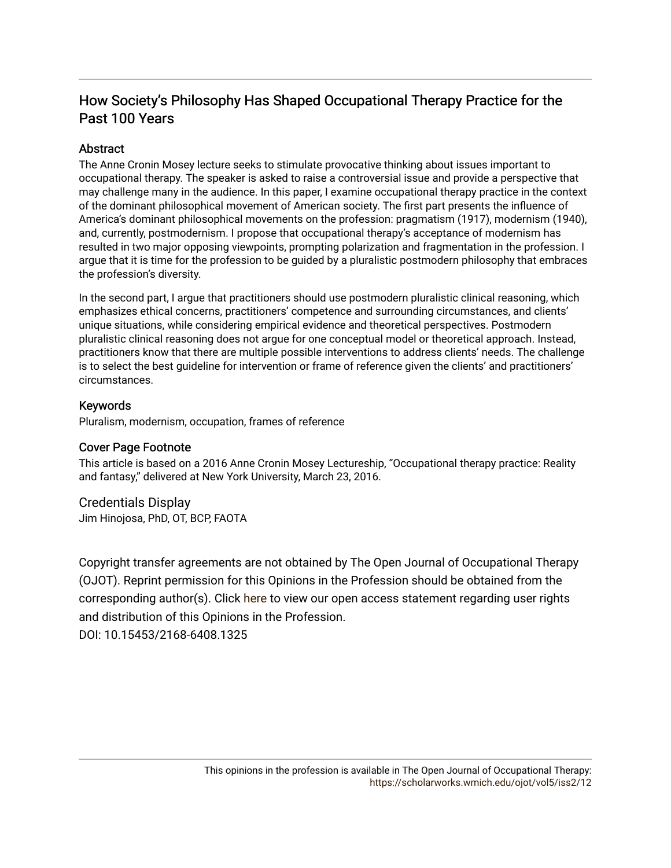# How Society's Philosophy Has Shaped Occupational Therapy Practice for the Past 100 Years

# Abstract

The Anne Cronin Mosey lecture seeks to stimulate provocative thinking about issues important to occupational therapy. The speaker is asked to raise a controversial issue and provide a perspective that may challenge many in the audience. In this paper, I examine occupational therapy practice in the context of the dominant philosophical movement of American society. The first part presents the influence of America's dominant philosophical movements on the profession: pragmatism (1917), modernism (1940), and, currently, postmodernism. I propose that occupational therapy's acceptance of modernism has resulted in two major opposing viewpoints, prompting polarization and fragmentation in the profession. I argue that it is time for the profession to be guided by a pluralistic postmodern philosophy that embraces the profession's diversity.

In the second part, I argue that practitioners should use postmodern pluralistic clinical reasoning, which emphasizes ethical concerns, practitioners' competence and surrounding circumstances, and clients' unique situations, while considering empirical evidence and theoretical perspectives. Postmodern pluralistic clinical reasoning does not argue for one conceptual model or theoretical approach. Instead, practitioners know that there are multiple possible interventions to address clients' needs. The challenge is to select the best guideline for intervention or frame of reference given the clients' and practitioners' circumstances.

# Keywords

Pluralism, modernism, occupation, frames of reference

# Cover Page Footnote

This article is based on a 2016 Anne Cronin Mosey Lectureship, "Occupational therapy practice: Reality and fantasy," delivered at New York University, March 23, 2016.

Credentials Display

Jim Hinojosa, PhD, OT, BCP, FAOTA

Copyright transfer agreements are not obtained by The Open Journal of Occupational Therapy (OJOT). Reprint permission for this Opinions in the Profession should be obtained from the corresponding author(s). Click [here](https://scholarworks.wmich.edu/ojot/policies.html#rights) to view our open access statement regarding user rights and distribution of this Opinions in the Profession.

DOI: 10.15453/2168-6408.1325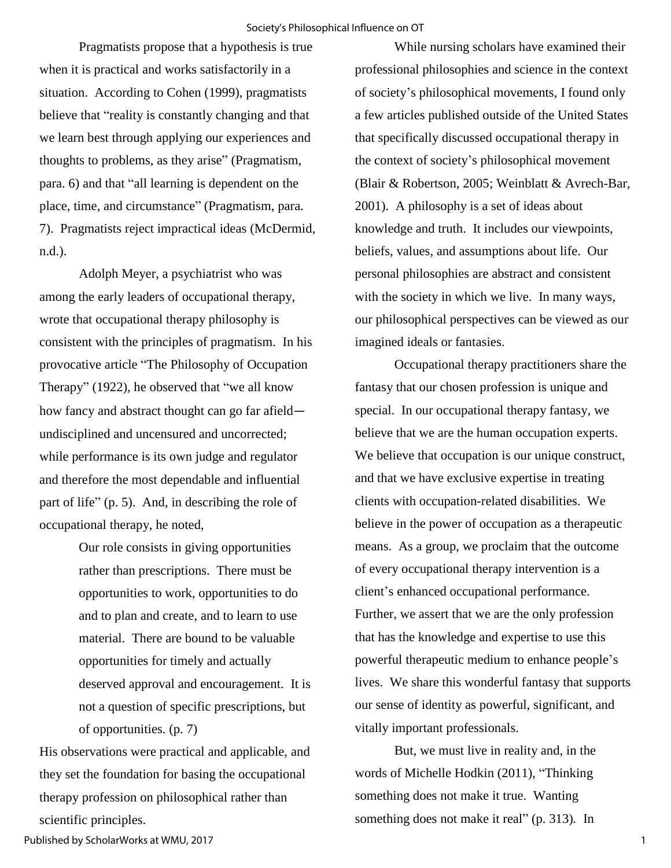Pragmatists propose that a hypothesis is true when it is practical and works satisfactorily in a situation. According to Cohen (1999), pragmatists believe that "reality is constantly changing and that we learn best through applying our experiences and thoughts to problems, as they arise" (Pragmatism, para. 6) and that "all learning is dependent on the place, time, and circumstance" (Pragmatism, para. 7). Pragmatists reject impractical ideas (McDermid, n.d.).

Adolph Meyer, a psychiatrist who was among the early leaders of occupational therapy, wrote that occupational therapy philosophy is consistent with the principles of pragmatism. In his provocative article "The Philosophy of Occupation Therapy" (1922), he observed that "we all know how fancy and abstract thought can go far afield undisciplined and uncensured and uncorrected; while performance is its own judge and regulator and therefore the most dependable and influential part of life" (p. 5). And, in describing the role of occupational therapy, he noted,

> Our role consists in giving opportunities rather than prescriptions. There must be opportunities to work, opportunities to do and to plan and create, and to learn to use material. There are bound to be valuable opportunities for timely and actually deserved approval and encouragement. It is not a question of specific prescriptions, but of opportunities. (p. 7)

His observations were practical and applicable, and they set the foundation for basing the occupational therapy profession on philosophical rather than scientific principles.

While nursing scholars have examined their professional philosophies and science in the context of society's philosophical movements, I found only a few articles published outside of the United States that specifically discussed occupational therapy in the context of society's philosophical movement (Blair & Robertson, 2005; Weinblatt & Avrech-Bar, 2001). A philosophy is a set of ideas about knowledge and truth. It includes our viewpoints, beliefs, values, and assumptions about life. Our personal philosophies are abstract and consistent with the society in which we live. In many ways, our philosophical perspectives can be viewed as our imagined ideals or fantasies.

Occupational therapy practitioners share the fantasy that our chosen profession is unique and special. In our occupational therapy fantasy, we believe that we are the human occupation experts. We believe that occupation is our unique construct, and that we have exclusive expertise in treating clients with occupation-related disabilities. We believe in the power of occupation as a therapeutic means. As a group, we proclaim that the outcome of every occupational therapy intervention is a client's enhanced occupational performance. Further, we assert that we are the only profession that has the knowledge and expertise to use this powerful therapeutic medium to enhance people's lives. We share this wonderful fantasy that supports our sense of identity as powerful, significant, and vitally important professionals.

But, we must live in reality and, in the words of Michelle Hodkin (2011), "Thinking something does not make it true. Wanting something does not make it real" (p. 313)*.* In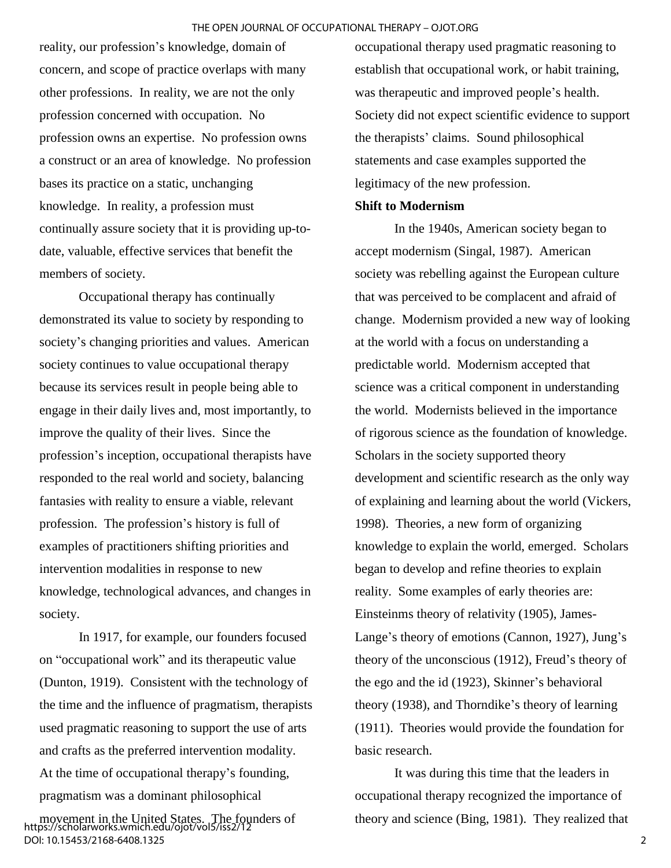reality, our profession's knowledge, domain of concern, and scope of practice overlaps with many other professions. In reality, we are not the only profession concerned with occupation. No profession owns an expertise. No profession owns a construct or an area of knowledge. No profession bases its practice on a static, unchanging knowledge. In reality, a profession must continually assure society that it is providing up-todate, valuable, effective services that benefit the members of society.

Occupational therapy has continually demonstrated its value to society by responding to society's changing priorities and values. American society continues to value occupational therapy because its services result in people being able to engage in their daily lives and, most importantly, to improve the quality of their lives. Since the profession's inception, occupational therapists have responded to the real world and society, balancing fantasies with reality to ensure a viable, relevant profession. The profession's history is full of examples of practitioners shifting priorities and intervention modalities in response to new knowledge, technological advances, and changes in society.

In 1917, for example, our founders focused on "occupational work" and its therapeutic value (Dunton, 1919). Consistent with the technology of the time and the influence of pragmatism, therapists used pragmatic reasoning to support the use of arts and crafts as the preferred intervention modality. At the time of occupational therapy's founding, pragmatism was a dominant philosophical

occupational therapy used pragmatic reasoning to establish that occupational work, or habit training, was therapeutic and improved people's health. Society did not expect scientific evidence to support the therapists' claims. Sound philosophical statements and case examples supported the legitimacy of the new profession.

#### **Shift to Modernism**

In the 1940s, American society began to accept modernism (Singal, 1987). American society was rebelling against the European culture that was perceived to be complacent and afraid of change. Modernism provided a new way of looking at the world with a focus on understanding a predictable world. Modernism accepted that science was a critical component in understanding the world. Modernists believed in the importance of rigorous science as the foundation of knowledge. Scholars in the society supported theory development and scientific research as the only way of explaining and learning about the world (Vickers, 1998). Theories, a new form of organizing knowledge to explain the world, emerged. Scholars began to develop and refine theories to explain reality. Some examples of early theories are: Einsteinms theory of relativity (1905), James-Lange's theory of emotions (Cannon, 1927), Jung's theory of the unconscious (1912), Freud's theory of the ego and the id (1923), Skinner's behavioral theory (1938), and Thorndike's theory of learning (1911). Theories would provide the foundation for basic research.

It was during this time that the leaders in occupational therapy recognized the importance of theory and science (Bing, 1981). They realized that

movement in the United States. The founders of https://scholarworks.wmich.edu/ojot/vol5/iss2/12 DOI: 10.15453/2168-6408.1325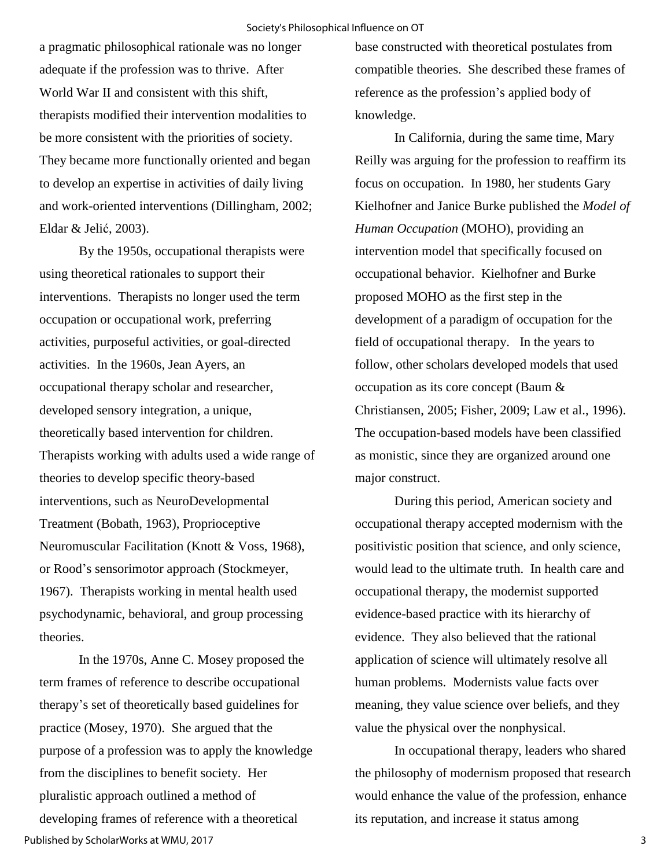a pragmatic philosophical rationale was no longer adequate if the profession was to thrive. After World War II and consistent with this shift. therapists modified their intervention modalities to be more consistent with the priorities of society. They became more functionally oriented and began to develop an expertise in activities of daily living and work-oriented interventions (Dillingham, 2002; Eldar & Jelić, 2003).

By the 1950s, occupational therapists were using theoretical rationales to support their interventions. Therapists no longer used the term occupation or occupational work, preferring activities, purposeful activities, or goal-directed activities. In the 1960s, Jean Ayers, an occupational therapy scholar and researcher, developed sensory integration, a unique, theoretically based intervention for children. Therapists working with adults used a wide range of theories to develop specific theory-based interventions, such as NeuroDevelopmental Treatment (Bobath, 1963), Proprioceptive Neuromuscular Facilitation (Knott & Voss, 1968), or Rood's sensorimotor approach (Stockmeyer, 1967). Therapists working in mental health used psychodynamic, behavioral, and group processing theories.

In the 1970s, Anne C. Mosey proposed the term frames of reference to describe occupational therapy's set of theoretically based guidelines for practice (Mosey, 1970). She argued that the purpose of a profession was to apply the knowledge from the disciplines to benefit society. Her pluralistic approach outlined a method of developing frames of reference with a theoretical Published by ScholarWorks at WMU, 2017

base constructed with theoretical postulates from compatible theories. She described these frames of reference as the profession's applied body of knowledge.

In California, during the same time, Mary Reilly was arguing for the profession to reaffirm its focus on occupation. In 1980, her students Gary Kielhofner and Janice Burke published the *Model of Human Occupation* (MOHO), providing an intervention model that specifically focused on occupational behavior. Kielhofner and Burke proposed MOHO as the first step in the development of a paradigm of occupation for the field of occupational therapy. In the years to follow, other scholars developed models that used occupation as its core concept (Baum & Christiansen, 2005; Fisher, 2009; Law et al., 1996). The occupation-based models have been classified as monistic, since they are organized around one major construct.

During this period, American society and occupational therapy accepted modernism with the positivistic position that science, and only science, would lead to the ultimate truth. In health care and occupational therapy, the modernist supported evidence-based practice with its hierarchy of evidence. They also believed that the rational application of science will ultimately resolve all human problems. Modernists value facts over meaning, they value science over beliefs, and they value the physical over the nonphysical.

In occupational therapy, leaders who shared the philosophy of modernism proposed that research would enhance the value of the profession, enhance its reputation, and increase it status among

3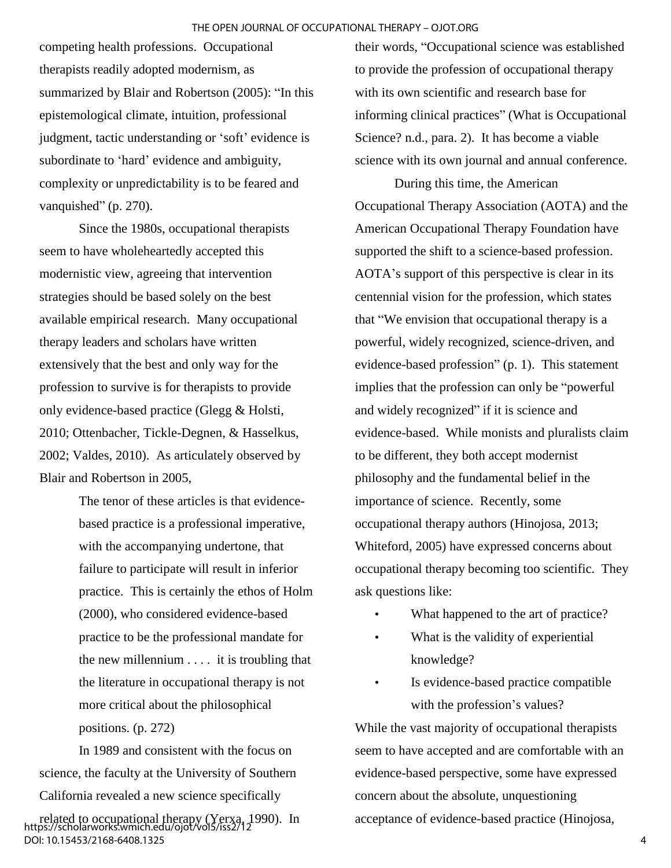competing health professions. Occupational therapists readily adopted modernism, as summarized by Blair and Robertson (2005): "In this epistemological climate, intuition, professional judgment, tactic understanding or 'soft' evidence is subordinate to 'hard' evidence and ambiguity, complexity or unpredictability is to be feared and vanquished" (p. 270).

Since the 1980s, occupational therapists seem to have wholeheartedly accepted this modernistic view, agreeing that intervention strategies should be based solely on the best available empirical research. Many occupational therapy leaders and scholars have written extensively that the best and only way for the profession to survive is for therapists to provide only evidence-based practice (Glegg & Holsti, 2010; Ottenbacher, Tickle-Degnen, & Hasselkus, 2002; Valdes, 2010). As articulately observed by Blair and Robertson in 2005,

> The tenor of these articles is that evidencebased practice is a professional imperative, with the accompanying undertone, that failure to participate will result in inferior practice. This is certainly the ethos of Holm (2000), who considered evidence-based practice to be the professional mandate for the new millennium . . . . it is troubling that the literature in occupational therapy is not more critical about the philosophical positions. (p. 272)

In 1989 and consistent with the focus on science, the faculty at the University of Southern California revealed a new science specifically

their words, "Occupational science was established to provide the profession of occupational therapy with its own scientific and research base for informing clinical practices" (What is Occupational Science? n.d., para. 2). It has become a viable science with its own journal and annual conference.

During this time, the American Occupational Therapy Association (AOTA) and the American Occupational Therapy Foundation have supported the shift to a science-based profession. AOTA's support of this perspective is clear in its centennial vision for the profession, which states that "We envision that occupational therapy is a powerful, widely recognized, science-driven, and evidence-based profession" (p. 1). This statement implies that the profession can only be "powerful and widely recognized" if it is science and evidence-based. While monists and pluralists claim to be different, they both accept modernist philosophy and the fundamental belief in the importance of science. Recently, some occupational therapy authors (Hinojosa, 2013; Whiteford, 2005) have expressed concerns about occupational therapy becoming too scientific. They ask questions like:

- What happened to the art of practice?
- What is the validity of experiential knowledge?
- Is evidence-based practice compatible with the profession's values?

While the vast majority of occupational therapists seem to have accepted and are comfortable with an evidence-based perspective, some have expressed concern about the absolute, unquestioning acceptance of evidence-based practice (Hinojosa,

related to occupational therapy (Yerxa, 1990). In https://scholarworks.wmich.edu/ojot/vol5/iss2/12 DOI: 10.15453/2168-6408.1325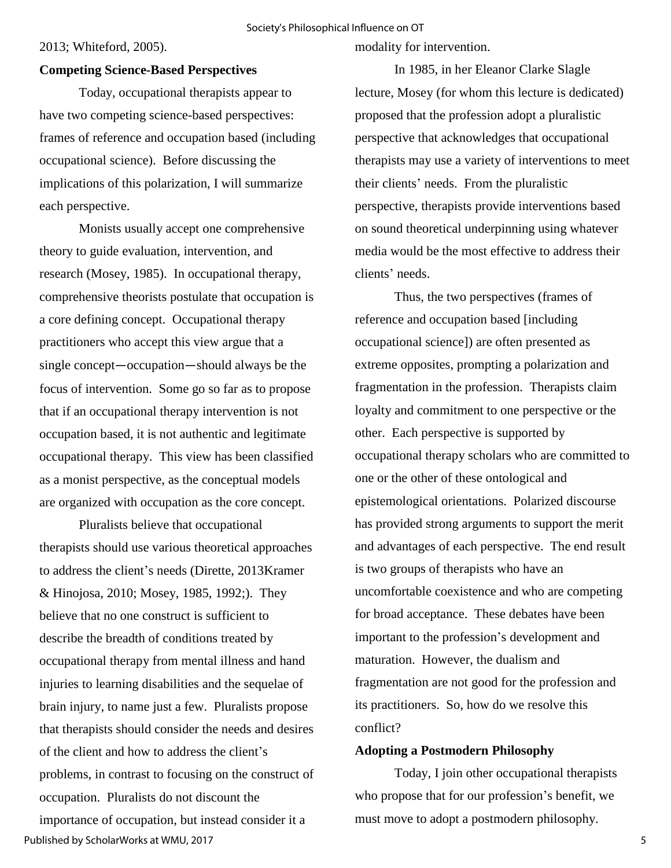## 2013; Whiteford, 2005).

## **Competing Science-Based Perspectives**

Today, occupational therapists appear to have two competing science-based perspectives: frames of reference and occupation based (including occupational science). Before discussing the implications of this polarization, I will summarize each perspective.

Monists usually accept one comprehensive theory to guide evaluation, intervention, and research (Mosey, 1985). In occupational therapy, comprehensive theorists postulate that occupation is a core defining concept. Occupational therapy practitioners who accept this view argue that a single concept—occupation—should always be the focus of intervention. Some go so far as to propose that if an occupational therapy intervention is not occupation based, it is not authentic and legitimate occupational therapy. This view has been classified as a monist perspective, as the conceptual models are organized with occupation as the core concept.

Pluralists believe that occupational therapists should use various theoretical approaches to address the client's needs (Dirette, 2013Kramer & Hinojosa, 2010; Mosey, 1985, 1992;). They believe that no one construct is sufficient to describe the breadth of conditions treated by occupational therapy from mental illness and hand injuries to learning disabilities and the sequelae of brain injury, to name just a few. Pluralists propose that therapists should consider the needs and desires of the client and how to address the client's problems, in contrast to focusing on the construct of occupation. Pluralists do not discount the importance of occupation, but instead consider it a Published by ScholarWorks at WMU, 2017

modality for intervention.

In 1985, in her Eleanor Clarke Slagle lecture, Mosey (for whom this lecture is dedicated) proposed that the profession adopt a pluralistic perspective that acknowledges that occupational therapists may use a variety of interventions to meet their clients' needs. From the pluralistic perspective, therapists provide interventions based on sound theoretical underpinning using whatever media would be the most effective to address their clients' needs.

Thus, the two perspectives (frames of reference and occupation based [including occupational science]) are often presented as extreme opposites, prompting a polarization and fragmentation in the profession. Therapists claim loyalty and commitment to one perspective or the other. Each perspective is supported by occupational therapy scholars who are committed to one or the other of these ontological and epistemological orientations. Polarized discourse has provided strong arguments to support the merit and advantages of each perspective. The end result is two groups of therapists who have an uncomfortable coexistence and who are competing for broad acceptance. These debates have been important to the profession's development and maturation. However, the dualism and fragmentation are not good for the profession and its practitioners. So, how do we resolve this conflict?

#### **Adopting a Postmodern Philosophy**

Today, I join other occupational therapists who propose that for our profession's benefit, we must move to adopt a postmodern philosophy.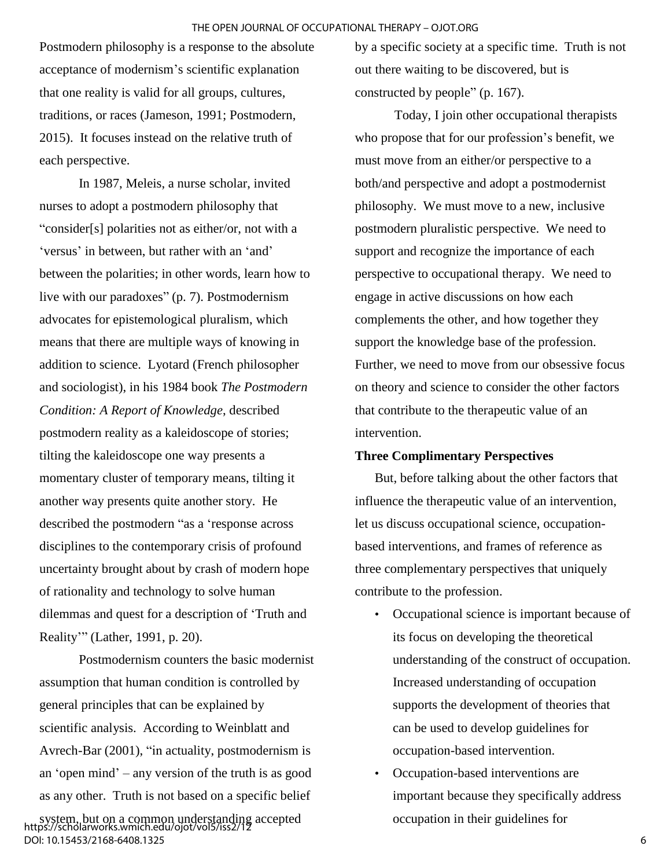Postmodern philosophy is a response to the absolute acceptance of modernism's scientific explanation that one reality is valid for all groups, cultures, traditions, or races (Jameson, 1991; Postmodern, 2015). It focuses instead on the relative truth of each perspective.

In 1987, Meleis, a nurse scholar, invited nurses to adopt a postmodern philosophy that "consider[s] polarities not as either/or, not with a 'versus' in between, but rather with an 'and' between the polarities; in other words, learn how to live with our paradoxes" (p. 7). Postmodernism advocates for epistemological pluralism, which means that there are multiple ways of knowing in addition to science. Lyotard (French philosopher and sociologist), in his 1984 book *The Postmodern Condition: A Report of Knowledge*, described postmodern reality as a kaleidoscope of stories; tilting the kaleidoscope one way presents a momentary cluster of temporary means, tilting it another way presents quite another story. He described the postmodern "as a 'response across disciplines to the contemporary crisis of profound uncertainty brought about by crash of modern hope of rationality and technology to solve human dilemmas and quest for a description of 'Truth and Reality'" (Lather, 1991, p. 20).

Postmodernism counters the basic modernist assumption that human condition is controlled by general principles that can be explained by scientific analysis. According to Weinblatt and Avrech-Bar (2001), "in actuality, postmodernism is an 'open mind' – any version of the truth is as good as any other. Truth is not based on a specific belief

system, but on a common understanding accepted https://scholarworks.wmich.edu/ojot/vol5/iss2/12 DOI: 10.15453/2168-6408.1325

by a specific society at a specific time. Truth is not out there waiting to be discovered, but is constructed by people" (p. 167).

Today, I join other occupational therapists who propose that for our profession's benefit, we must move from an either/or perspective to a both/and perspective and adopt a postmodernist philosophy. We must move to a new, inclusive postmodern pluralistic perspective. We need to support and recognize the importance of each perspective to occupational therapy. We need to engage in active discussions on how each complements the other, and how together they support the knowledge base of the profession. Further, we need to move from our obsessive focus on theory and science to consider the other factors that contribute to the therapeutic value of an intervention.

## **Three Complimentary Perspectives**

But, before talking about the other factors that influence the therapeutic value of an intervention, let us discuss occupational science, occupationbased interventions, and frames of reference as three complementary perspectives that uniquely contribute to the profession.

- Occupational science is important because of its focus on developing the theoretical understanding of the construct of occupation. Increased understanding of occupation supports the development of theories that can be used to develop guidelines for occupation-based intervention.
- Occupation-based interventions are important because they specifically address occupation in their guidelines for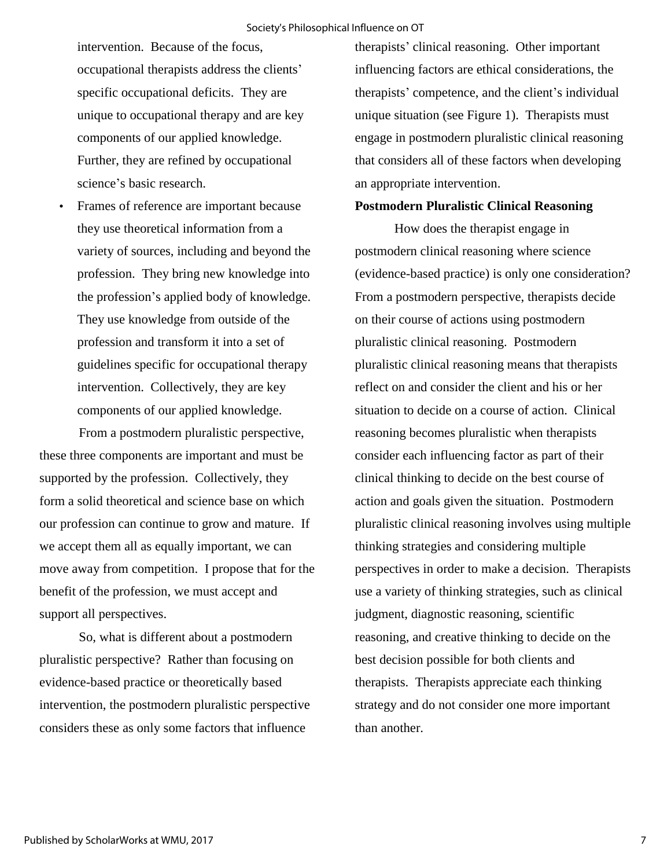intervention. Because of the focus, occupational therapists address the clients' specific occupational deficits. They are unique to occupational therapy and are key components of our applied knowledge. Further, they are refined by occupational science's basic research.

• Frames of reference are important because they use theoretical information from a variety of sources, including and beyond the profession. They bring new knowledge into the profession's applied body of knowledge. They use knowledge from outside of the profession and transform it into a set of guidelines specific for occupational therapy intervention. Collectively, they are key components of our applied knowledge.

From a postmodern pluralistic perspective, these three components are important and must be supported by the profession. Collectively, they form a solid theoretical and science base on which our profession can continue to grow and mature. If we accept them all as equally important, we can move away from competition. I propose that for the benefit of the profession, we must accept and support all perspectives.

So, what is different about a postmodern pluralistic perspective? Rather than focusing on evidence-based practice or theoretically based intervention, the postmodern pluralistic perspective considers these as only some factors that influence

therapists' clinical reasoning. Other important influencing factors are ethical considerations, the therapists' competence, and the client's individual unique situation (see Figure 1). Therapists must engage in postmodern pluralistic clinical reasoning that considers all of these factors when developing an appropriate intervention.

#### **Postmodern Pluralistic Clinical Reasoning**

How does the therapist engage in postmodern clinical reasoning where science (evidence-based practice) is only one consideration? From a postmodern perspective, therapists decide on their course of actions using postmodern pluralistic clinical reasoning. Postmodern pluralistic clinical reasoning means that therapists reflect on and consider the client and his or her situation to decide on a course of action. Clinical reasoning becomes pluralistic when therapists consider each influencing factor as part of their clinical thinking to decide on the best course of action and goals given the situation. Postmodern pluralistic clinical reasoning involves using multiple thinking strategies and considering multiple perspectives in order to make a decision. Therapists use a variety of thinking strategies, such as clinical judgment, diagnostic reasoning, scientific reasoning, and creative thinking to decide on the best decision possible for both clients and therapists. Therapists appreciate each thinking strategy and do not consider one more important than another.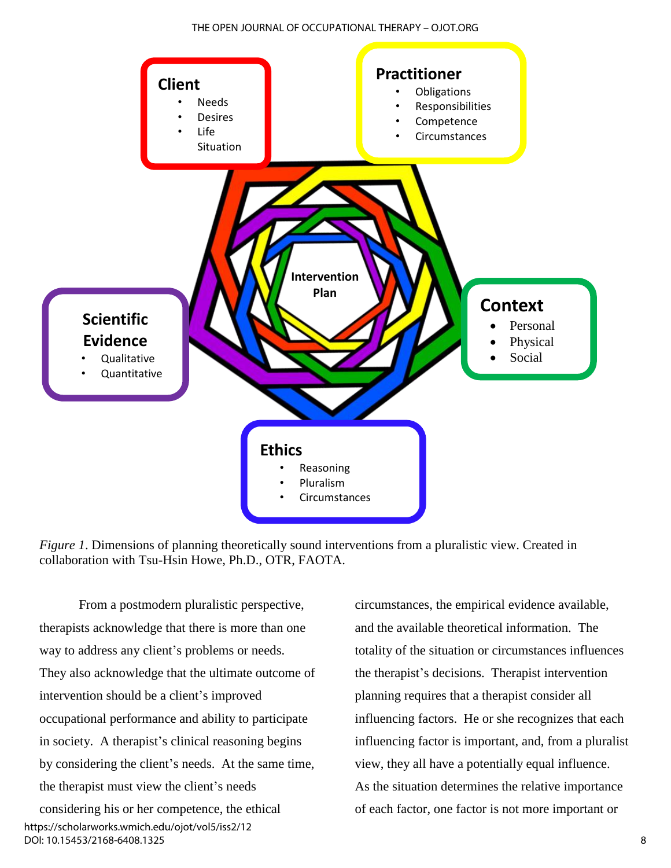#### THE OPEN JOURNAL OF OCCUPATIONAL THERAPY – OJOT.ORG



*Figure 1*. Dimensions of planning theoretically sound interventions from a pluralistic view. Created in collaboration with Tsu-Hsin Howe, Ph.D., OTR, FAOTA.

From a postmodern pluralistic perspective, therapists acknowledge that there is more than one way to address any client's problems or needs. They also acknowledge that the ultimate outcome of intervention should be a client's improved occupational performance and ability to participate in society. A therapist's clinical reasoning begins by considering the client's needs. At the same time, the therapist must view the client's needs

considering his or her competence, the ethical https://scholarworks.wmich.edu/ojot/vol5/iss2/12 DOI: 10.15453/2168-6408.1325

circumstances, the empirical evidence available, and the available theoretical information. The totality of the situation or circumstances influences the therapist's decisions. Therapist intervention planning requires that a therapist consider all influencing factors. He or she recognizes that each influencing factor is important, and, from a pluralist view, they all have a potentially equal influence. As the situation determines the relative importance of each factor, one factor is not more important or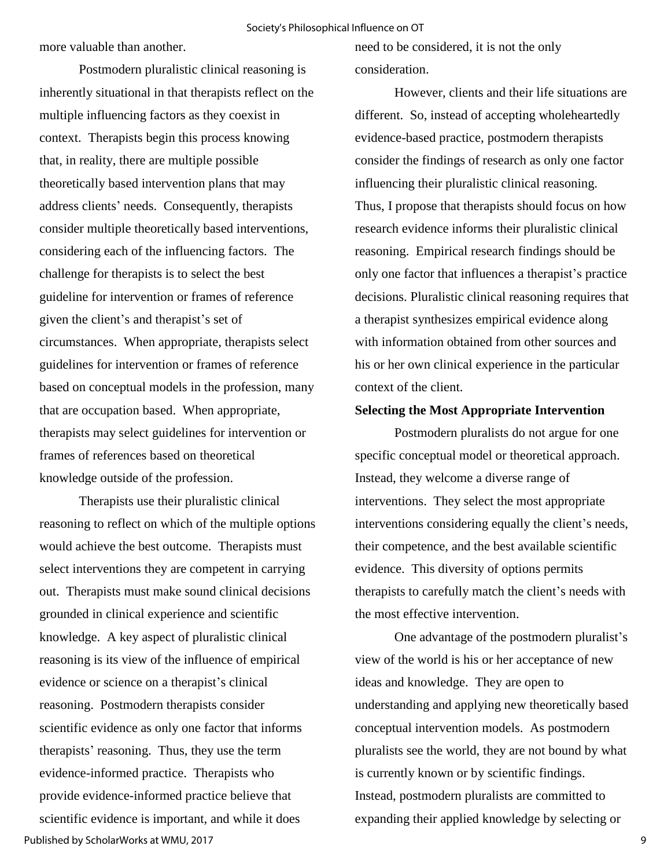more valuable than another.

Postmodern pluralistic clinical reasoning is inherently situational in that therapists reflect on the multiple influencing factors as they coexist in context. Therapists begin this process knowing that, in reality, there are multiple possible theoretically based intervention plans that may address clients' needs. Consequently, therapists consider multiple theoretically based interventions, considering each of the influencing factors. The challenge for therapists is to select the best guideline for intervention or frames of reference given the client's and therapist's set of circumstances. When appropriate, therapists select guidelines for intervention or frames of reference based on conceptual models in the profession, many that are occupation based. When appropriate, therapists may select guidelines for intervention or frames of references based on theoretical knowledge outside of the profession.

Therapists use their pluralistic clinical reasoning to reflect on which of the multiple options would achieve the best outcome. Therapists must select interventions they are competent in carrying out. Therapists must make sound clinical decisions grounded in clinical experience and scientific knowledge. A key aspect of pluralistic clinical reasoning is its view of the influence of empirical evidence or science on a therapist's clinical reasoning. Postmodern therapists consider scientific evidence as only one factor that informs therapists' reasoning. Thus, they use the term evidence-informed practice. Therapists who provide evidence-informed practice believe that scientific evidence is important, and while it does Published by ScholarWorks at WMU, 2017

need to be considered, it is not the only consideration.

However, clients and their life situations are different. So, instead of accepting wholeheartedly evidence-based practice, postmodern therapists consider the findings of research as only one factor influencing their pluralistic clinical reasoning. Thus, I propose that therapists should focus on how research evidence informs their pluralistic clinical reasoning. Empirical research findings should be only one factor that influences a therapist's practice decisions. Pluralistic clinical reasoning requires that a therapist synthesizes empirical evidence along with information obtained from other sources and his or her own clinical experience in the particular context of the client.

#### **Selecting the Most Appropriate Intervention**

Postmodern pluralists do not argue for one specific conceptual model or theoretical approach. Instead, they welcome a diverse range of interventions. They select the most appropriate interventions considering equally the client's needs, their competence, and the best available scientific evidence. This diversity of options permits therapists to carefully match the client's needs with the most effective intervention.

One advantage of the postmodern pluralist's view of the world is his or her acceptance of new ideas and knowledge. They are open to understanding and applying new theoretically based conceptual intervention models. As postmodern pluralists see the world, they are not bound by what is currently known or by scientific findings. Instead, postmodern pluralists are committed to expanding their applied knowledge by selecting or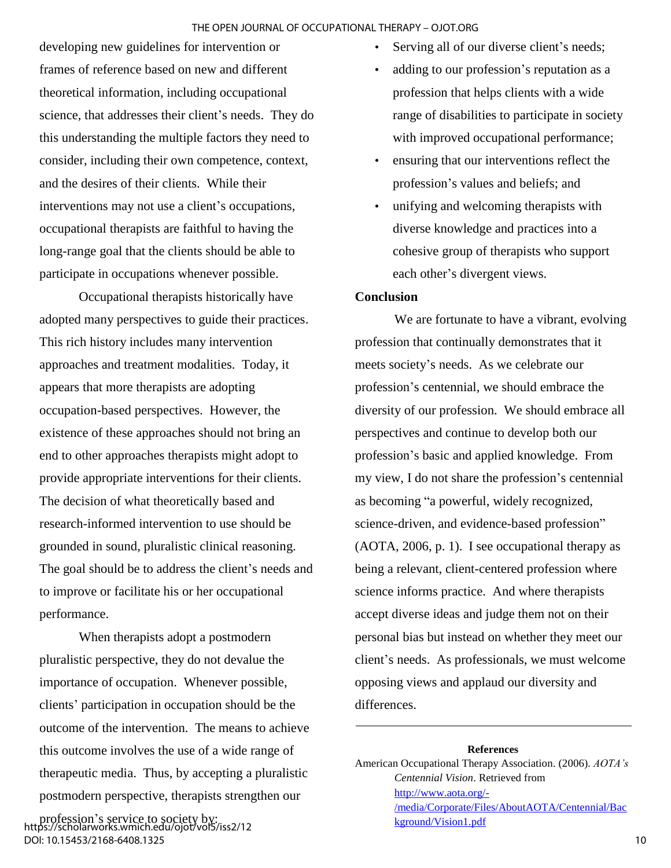developing new guidelines for intervention or frames of reference based on new and different theoretical information, including occupational science, that addresses their client's needs. They do this understanding the multiple factors they need to consider, including their own competence, context, and the desires of their clients. While their interventions may not use a client's occupations, occupational therapists are faithful to having the long-range goal that the clients should be able to participate in occupations whenever possible.

Occupational therapists historically have adopted many perspectives to guide their practices. This rich history includes many intervention approaches and treatment modalities. Today, it appears that more therapists are adopting occupation-based perspectives. However, the existence of these approaches should not bring an end to other approaches therapists might adopt to provide appropriate interventions for their clients. The decision of what theoretically based and research-informed intervention to use should be grounded in sound, pluralistic clinical reasoning. The goal should be to address the client's needs and to improve or facilitate his or her occupational performance.

When therapists adopt a postmodern pluralistic perspective, they do not devalue the importance of occupation. Whenever possible, clients' participation in occupation should be the outcome of the intervention. The means to achieve this outcome involves the use of a wide range of therapeutic media. Thus, by accepting a pluralistic postmodern perspective, therapists strengthen our

- Serving all of our diverse client's needs;
- adding to our profession's reputation as a profession that helps clients with a wide range of disabilities to participate in society with improved occupational performance;
- ensuring that our interventions reflect the profession's values and beliefs; and
- unifying and welcoming therapists with diverse knowledge and practices into a cohesive group of therapists who support each other's divergent views.

# **Conclusion**

We are fortunate to have a vibrant, evolving profession that continually demonstrates that it meets society's needs. As we celebrate our profession's centennial, we should embrace the diversity of our profession. We should embrace all perspectives and continue to develop both our profession's basic and applied knowledge. From my view, I do not share the profession's centennial as becoming "a powerful, widely recognized, science-driven, and evidence-based profession" (AOTA, 2006, p. 1). I see occupational therapy as being a relevant, client-centered profession where science informs practice. And where therapists accept diverse ideas and judge them not on their personal bias but instead on whether they meet our client's needs. As professionals, we must welcome opposing views and applaud our diversity and differences.

#### **References**

American Occupational Therapy Association. (2006). *AOTA's Centennial Vision*. Retrieved from [http://www.aota.org/-](http://www.aota.org/-/media/Corporate/Files/AboutAOTA/Centennial/Background/Vision1.pdf) [/media/Corporate/Files/AboutAOTA/Centennial/Bac](http://www.aota.org/-/media/Corporate/Files/AboutAOTA/Centennial/Background/Vision1.pdf) [kground/Vision1.pdf](http://www.aota.org/-/media/Corporate/Files/AboutAOTA/Centennial/Background/Vision1.pdf)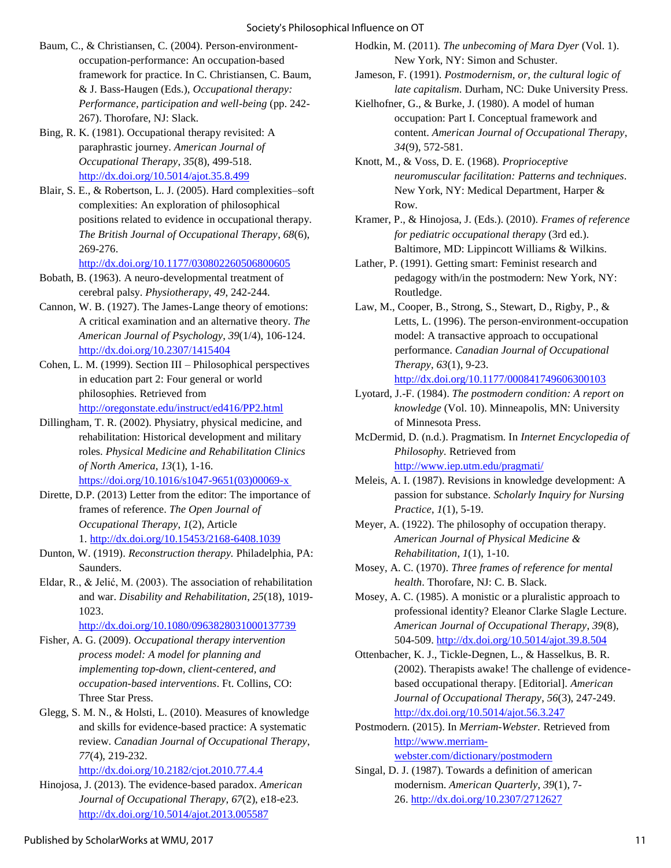- Baum, C., & Christiansen, C. (2004). Person-environmentoccupation-performance: An occupation-based framework for practice. In C. Christiansen, C. Baum, & J. Bass-Haugen (Eds.), *Occupational therapy: Performance, participation and well-being* (pp. 242- 267). Thorofare, NJ: Slack.
- Bing, R. K. (1981). Occupational therapy revisited: A paraphrastic journey. *American Journal of Occupational Therapy*, *35*(8), 499-518. <http://dx.doi.org/10.5014/ajot.35.8.499>
- Blair, S. E., & Robertson, L. J. (2005). Hard complexities–soft complexities: An exploration of philosophical positions related to evidence in occupational therapy. *The British Journal of Occupational Therapy*, *68*(6), 269-276.

<http://dx.doi.org/10.1177/030802260506800605>

- Bobath, B. (1963). A neuro-developmental treatment of cerebral palsy. *Physiotherapy*, *49*, 242-244.
- Cannon, W. B. (1927). The James-Lange theory of emotions: A critical examination and an alternative theory. *The American Journal of Psychology*, *39*(1/4), 106-124. <http://dx.doi.org/10.2307/1415404>
- Cohen, L. M. (1999). Section III Philosophical perspectives in education part 2: Four general or world philosophies. Retrieved from <http://oregonstate.edu/instruct/ed416/PP2.html>
- Dillingham, T. R. (2002). Physiatry, physical medicine, and rehabilitation: Historical development and military roles. *Physical Medicine and Rehabilitation Clinics of North America*, *13*(1), 1-16. [https://doi.org/10.1016/s1047-9651\(03\)00069-x](https://doi.org/10.1016/s1047-9651(03)00069-x)
- Dirette, D.P. (2013) Letter from the editor: The importance of frames of reference. *The Open Journal of Occupational Therapy*, *1*(2), Article 1. <http://dx.doi.org/10.15453/2168-6408.1039>
- Dunton, W. (1919). *Reconstruction therapy.* Philadelphia, PA: Saunders.
- Eldar, R., & Jelić, M. (2003). The association of rehabilitation and war. *Disability and Rehabilitation*, *25*(18), 1019- 1023.

<http://dx.doi.org/10.1080/0963828031000137739>

- Fisher, A. G. (2009). *Occupational therapy intervention process model: A model for planning and implementing top-down, client-centered, and occupation-based interventions*. Ft. Collins, CO: Three Star Press.
- Glegg, S. M. N., & Holsti, L. (2010). Measures of knowledge and skills for evidence-based practice: A systematic review. *Canadian Journal of Occupational Therapy*, *77*(4), 219-232.

<http://dx.doi.org/10.2182/cjot.2010.77.4.4>

Hinojosa, J. (2013). The evidence-based paradox. *American Journal of Occupational Therapy*, *67*(2), e18-e23. <http://dx.doi.org/10.5014/ajot.2013.005587>

- Hodkin, M. (2011). *The unbecoming of Mara Dyer* (Vol. 1). New York, NY: Simon and Schuster.
- Jameson, F. (1991). *Postmodernism, or, the cultural logic of late capitalism*. Durham, NC: Duke University Press.
- Kielhofner, G., & Burke, J. (1980). A model of human occupation: Part I. Conceptual framework and content. *American Journal of Occupational Therapy*, *34*(9), 572-581.

Knott, M., & Voss, D. E. (1968). *Proprioceptive neuromuscular facilitation: Patterns and techniques*. New York, NY: Medical Department, Harper & Row.

- Kramer, P., & Hinojosa, J. (Eds.). (2010). *Frames of reference for pediatric occupational therapy* (3rd ed.). Baltimore, MD: Lippincott Williams & Wilkins.
- Lather, P. (1991). Getting smart: Feminist research and pedagogy with/in the postmodern: New York, NY: Routledge.
- Law, M., Cooper, B., Strong, S., Stewart, D., Rigby, P., & Letts, L. (1996). The person-environment-occupation model: A transactive approach to occupational performance. *Canadian Journal of Occupational Therapy*, *63*(1), 9-23.

<http://dx.doi.org/10.1177/000841749606300103>

- Lyotard, J.-F. (1984). *The postmodern condition: A report on knowledge* (Vol. 10). Minneapolis, MN: University of Minnesota Press.
- McDermid, D. (n.d.). Pragmatism. In *Internet Encyclopedia of Philosophy.* Retrieved from <http://www.iep.utm.edu/pragmati/>
- Meleis, A. I. (1987). Revisions in knowledge development: A passion for substance. *Scholarly Inquiry for Nursing Practice*, *1*(1), 5-19.
- Meyer, A. (1922). The philosophy of occupation therapy. *American Journal of Physical Medicine & Rehabilitation*, *1*(1), 1-10.
- Mosey, A. C. (1970). *Three frames of reference for mental health*. Thorofare, NJ: C. B. Slack.
- Mosey, A. C. (1985). A monistic or a pluralistic approach to professional identity? Eleanor Clarke Slagle Lecture. *American Journal of Occupational Therapy*, *39*(8), 504-509. <http://dx.doi.org/10.5014/ajot.39.8.504>
- Ottenbacher, K. J., Tickle-Degnen, L., & Hasselkus, B. R. (2002). Therapists awake! The challenge of evidencebased occupational therapy. [Editorial]. *American Journal of Occupational Therapy*, *56*(3), 247-249. <http://dx.doi.org/10.5014/ajot.56.3.247>
- Postmodern. (2015). In *Merriam-Webster.* Retrieved from [http://www.merriam](http://www.merriam-webster.com/dictionary/postmodern)[webster.com/dictionary/postmodern](http://www.merriam-webster.com/dictionary/postmodern)
- Singal, D. J. (1987). Towards a definition of american modernism. *American Quarterly*, *39*(1), 7- 26.<http://dx.doi.org/10.2307/2712627>